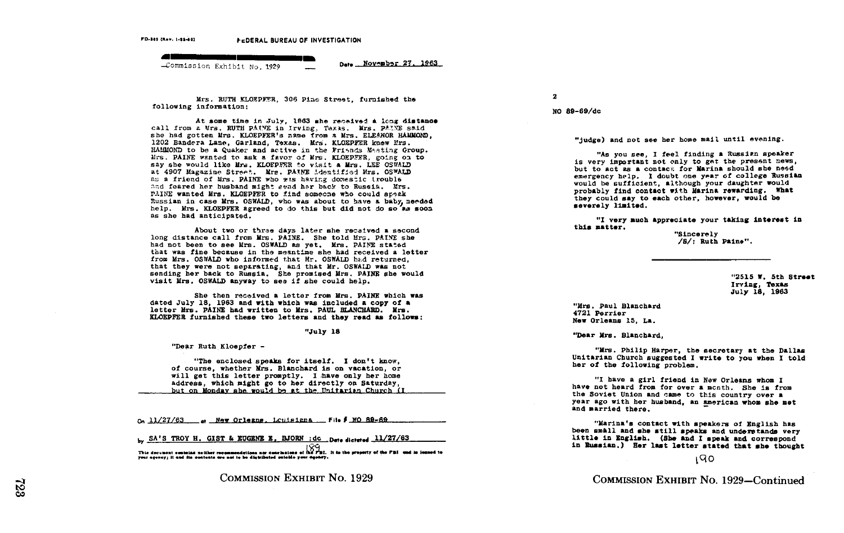(Nev. 1-11-40)<br>
A **Communication of the CDERAL BU**<br>
A Commission Exhibit No. 1929<br>
A Commission Exhibit No. 1929 Commission Exhibit No. 1929

Date November 27, 1963

Mrs. RUTH KLOEPFER, 306 Pine Street, furnished the following information:

At some time in July, 1963 she received a long distance call from a Mrs. RUTH PAINE in Irving, Taxas. Mrs. PAINE said. she had gotten Mrs. KLOEPFER's name from a Mrs. ELEANOR HAMMOND. 1202 Bandera Lane, Garland, Texas. Mrs. KLOEPFER knew Mrs. RAHMOND to be a Quaker and active in the Friends Masting Group. Mrs. PAINE wanted to ask a favor of Mrs. KLOEPFER, going on to say she would like Mrs. KLOEPFER to visit a Mrs. LEE OSWALD at 4907 Magazine Street. Mrs. PAINE identified Mrs. OSWALD as a friend of Mrs. PAINE who was having domestic trouble and feared her husband might send her back to Russia. Mrs. PAINE wanted Mrs. KLOEPFER to find someone who could speak Russian in case Mrs. OSWALD, who was about to have a baby, needed help. Mrs. KLOEPFER agreed to do this but did not do so as soon as she had anticipated .

About two or three days later she received a second<br>long distance call from Mrs. PAINE. She told Mrs. PAINE she long distance call from Mrs. PAINE. She told Mrs. PAINE she<br>had not been to see Mrs. OSWALD as yet. Mrs. PAINE stated<br>that was fine beenwest. At a state of the stated let that was fine because in the meantime she had received a letter from Mrs. OSWALD who informed that Mr. OSWALD had returned. that they were not separating, and that Mr. OSWALD was not sending her back to Russia. She promised Mrs. PAINE she would visit Mrs. OSWALD anyway to see if she could help.

She then received a letter from Mrs. PAINE which was dated July 18. 1963 and with which was included a copy of a dated July 18, 1963 and with which was included a copy of a letter Mrs. PAINE had written to Mrs. PAUL BLANCHARD. Mrs. KLOEPFER furnished these two letters and they read as follows :

"July 18

"Dear Ruth Kloopfer -

"The enclosed speaks for itself. I don't know,<br>of course, whether Mrs. Blanchard is on vacation, or of course, whether Mrs . Blanchard is on vacation, or will get this letter promptly . I have only her home address, which might go to her directly on Saturday, but on Monday she would be at the Unitarian Church (I The enclosed speaks for itself. I don't know that is of course, whether Mrs. Blanchard is on vacation,<br>will get this letter promptly. I have only her have the sound hadress, which might go to her directly on Sturd<br>but on

by SA'S TROY H. GIST & EUGENE E. BJORN : dc Dete dictored 11/27/63

This document emission neither recommendations nor conclusions of the FBI. It is the preparty of the FBI und is leaned to  $\Gamma$ 

COMMISSION EXHIBIT No. 1929

2

NO 89-69/dc

"judge) and not see her home mail until evening.

"As you see, <sup>I</sup> feel finding a Russian speaker is very important not only to get the present news, but to act as a contact for Marina should she need emergency help. I doubt one year of college Russian would be sufficient, although your daughter would probably find contact with Marina rewarding. What severely limited. they could say to each other, however, would be

"I very such appreciate your taking interest in this matter.

"Sincerely /S/ : Ruth Paine" .

> "2515 W. 5th Street Irving, Texas July 18, 1963

"Mrs . Paul Blanchard 4721 Perrier Now Orleans 15, La .

'Tear Mrs . Blanchard,

"Mrs . Philip Harper, the secretary at the Dallas Unitarian Church suggested <sup>I</sup> write to you when <sup>I</sup> told her of the following problem .

"I have a girl friend in New Orleans whom I<br>have not heard from for over a mccni, She is from<br>the Souiet Union and came to this country ours a the Soviet Union and came to this country over a the Soviet Union and Same to this country over a<br>year ago with her husband, an American whom she met and married there .

"Marina's contact with speakers of English has<br>been småll and she still speaks and understands very<br>little in Forligh (She and I and and announced little in English . (She And <sup>I</sup> speak and correspond in Russian .) Her last letter stated that mhe thought

#### 190

COMMISSION EXHIBIT No. 1929-Continued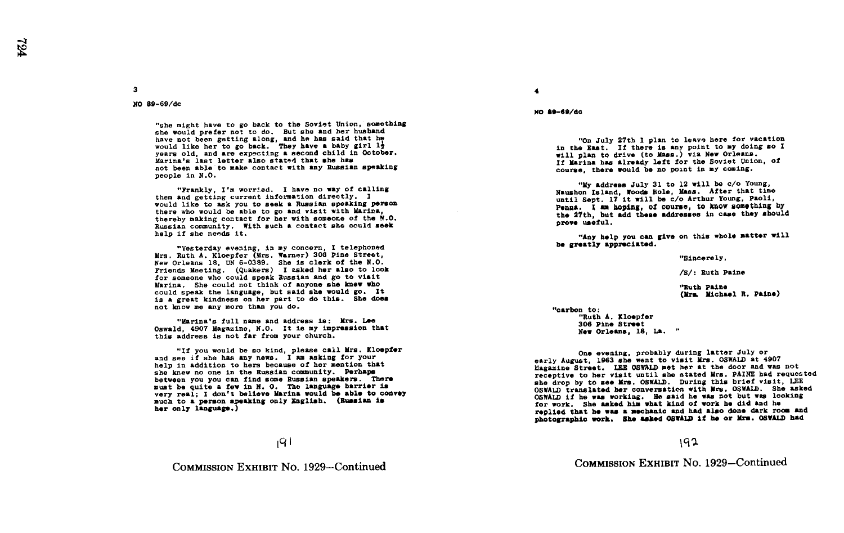No 89-69/dc

3

"She might have to go back to the Soviet Union, something she would prefer not to do. But she and her husband have not been getting along, and he has said that he . would like her to go back. They have a baby girl li years old, and are expecting a second child in October . Marina's last letter also stated that she hes not been able to make contact with any Russian speaking people in N.O.

"Frankly, I'm worried. I have no way of calling<br>them and getting current information directly. I them and getting current information directly. I<br>would like to ask you to seek a Russian speaking person there who would be able to go and visit with Marina, thereby making contact for her with someone of the M.U.<br>Russian community. With such a contact she could seek thereby making contact for her with someone of the N.O. help if she needs it .

-Yesterday evening, in my concern, <sup>I</sup> telephoned Mrs. Ruth A. Kloepfer (Mrs. Warner) 306 Pine Street, New Orleans 18, UN 6-0389. She is clerk of the N.O. Friends Meeting . (Quakers) <sup>I</sup> asked her also to look for someone who could speak Russian and go to visit Marina. She could not think of anyone she knew who could speak the language, but said she would go. It could speak the language, but said she would go . It is a great kindness on her part to do this . She does not know me any mom than you do .

"Marina's full name and address is: Mrs. Lee Oswald, 4907 Magazine, N.O. It is my impression that this address is not far from your church.

"If you would be so kind, please call Mrs. Kloepfor<br>and see if she has any news. I am asking for your and see if she has any news. I am asking for your<br>help in addition to hers because of her mention that<br>che know no one in the Pussian community Derhans she knew no one in the Russian community. Perhaps<br>between you you can find some Russian speakers. There<br>must be quite a far in N O, The language harrier is very real; I don't believe marina would be able to do much to a person speaking only English. (Russian is must be quite a few in N. O. The language barrier is very real: I don't believe Marina would be able to convey her only language .)

COMMISSION EXHIBIT No. 1929-Continued

4

NO 89-69/do

"on July 27th I plan to leave here for vacation in the East. If there is any point to my doing so I will plan to drive (to Mass.) via New Orleans. If Marina has already left for the Soviet Union, of course, there would be no point in my coming.

Why address July 31 to 12 will be c/o Young,<br>Naushon Island, Woods Role, Mass. After that times until Sept. 17 it will be c/o Arthur Young, Paoli, Penna. I am hoping, of course, to know something by the 27th, but add these addresses in case they should prove useful.

"Any help you can give on this whole matter will be greatly appreciated.

"Sincerely,

/S/: Ruth Paine

"Ruth Paine (Mrs. Michael R. Paine)

"carbon to:<br>"Ruth A. Kloepfer "Ruth A. Kloepfer<br>306 Pine Street<br>Mom Ouleans - 18 New Orleans, 18, La. "

one evening, probably during latter July or early August, 1963 she went to visit Mrs. OSWALD at 4907 liagazine Street. LEE OSWALD met her at the door and was not receptive to her visit until she stated Mrs. PAINE had requested she drop by to see Mrs. OSWALD. During this brief visit, LEE OSWALD translated her conversation with Mrs. OSWALD. She asked OSWALD translated her conversation with Mrs. OSWALD. She asked<br>OSWALD if he was working. He said he was not but was looking<br>Samunghi she sabed him what bind of work he did and he for work. She asked him what kind of work he did and he replied that he was a mechanic and had also done dark room and replied that he was <sup>a</sup> mechanic and had also done dark roon and photographic work. She asked OSWALD it he or Mrs . OSWALD had

### 192

COMMISSION EXHIBIT No. 1929-Continued